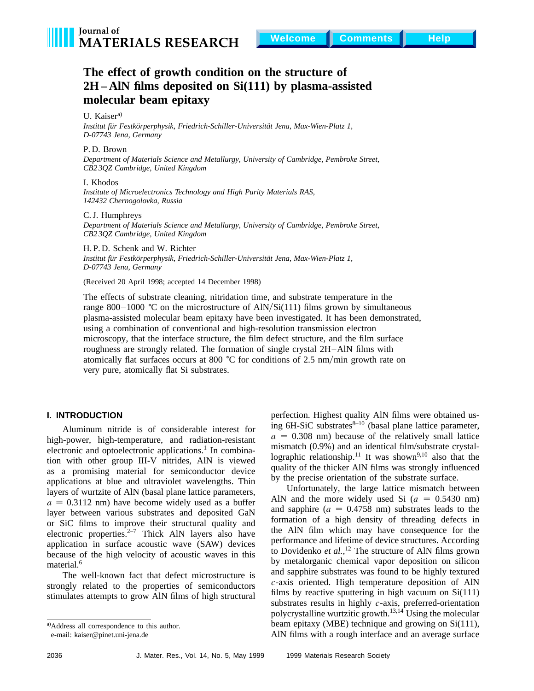

# **The effect of growth condition on the structure of 2H – AlN films deposited on Si(111) by plasma-assisted molecular beam epitaxy**

U. Kaiser<sup>a)</sup>

Institut für Festkörperphysik, Friedrich-Schiller-Universität Jena, Max-Wien-Platz 1, *D-07743 Jena, Germany*

P. D. Brown

*Department of Materials Science and Metallurgy, University of Cambridge, Pembroke Street, CB2 3QZ Cambridge, United Kingdom*

#### I. Khodos

*Institute of Microelectronics Technology and High Purity Materials RAS, 142432 Chernogolovka, Russia*

#### C. J. Humphreys

*Department of Materials Science and Metallurgy, University of Cambridge, Pembroke Street, CB2 3QZ Cambridge, United Kingdom*

H. P. D. Schenk and W. Richter Institut für Festkörperphysik, Friedrich-Schiller-Universität Jena, Max-Wien-Platz 1, *D-07743 Jena, Germany*

(Received 20 April 1998; accepted 14 December 1998)

The effects of substrate cleaning, nitridation time, and substrate temperature in the range 800–1000 °C on the microstructure of AlN/Si(111) films grown by simultaneous plasma-assisted molecular beam epitaxy have been investigated. It has been demonstrated, using a combination of conventional and high-resolution transmission electron microscopy, that the interface structure, the film defect structure, and the film surface roughness are strongly related. The formation of single crystal 2H–AlN films with atomically flat surfaces occurs at 800  $^{\circ}$ C for conditions of 2.5 nm/min growth rate on very pure, atomically flat Si substrates.

# **I. INTRODUCTION**

Aluminum nitride is of considerable interest for high-power, high-temperature, and radiation-resistant electronic and optoelectronic applications.<sup>1</sup> In combination with other group III-V nitrides, AlN is viewed as a promising material for semiconductor device applications at blue and ultraviolet wavelengths. Thin layers of wurtzite of AlN (basal plane lattice parameters,  $a = 0.3112$  nm) have become widely used as a buffer layer between various substrates and deposited GaN or SiC films to improve their structural quality and electronic properties. $2^{-7}$  Thick AlN layers also have application in surface acoustic wave (SAW) devices because of the high velocity of acoustic waves in this material.<sup>6</sup>

The well-known fact that defect microstructure is strongly related to the properties of semiconductors stimulates attempts to grow AlN films of high structural

perfection. Highest quality AlN films were obtained using  $6H-SiC$  substrates $8-10$  (basal plane lattice parameter,  $a = 0.308$  nm) because of the relatively small lattice mismatch (0.9%) and an identical film/substrate crystallographic relationship.<sup>11</sup> It was shown<sup>9,10</sup> also that the quality of the thicker AlN films was strongly influenced by the precise orientation of the substrate surface.

Unfortunately, the large lattice mismatch between AlN and the more widely used Si  $(a = 0.5430 \text{ nm})$ and sapphire  $(a = 0.4758 \text{ nm})$  substrates leads to the formation of a high density of threading defects in the AlN film which may have consequence for the performance and lifetime of device structures. According to Dovidenko *et al.,*<sup>12</sup> The structure of AlN films grown by metalorganic chemical vapor deposition on silicon and sapphire substrates was found to be highly textured *c*-axis oriented. High temperature deposition of AlN films by reactive sputtering in high vacuum on  $Si(111)$ substrates results in highly *c*-axis, preferred-orientation polycrystalline wurtzitic growth.13,14 Using the molecular beam epitaxy (MBE) technique and growing on Si(111), AlN films with a rough interface and an average surface

a)Address all correspondence to this author.

e-mail: kaiser@pinet.uni-jena.de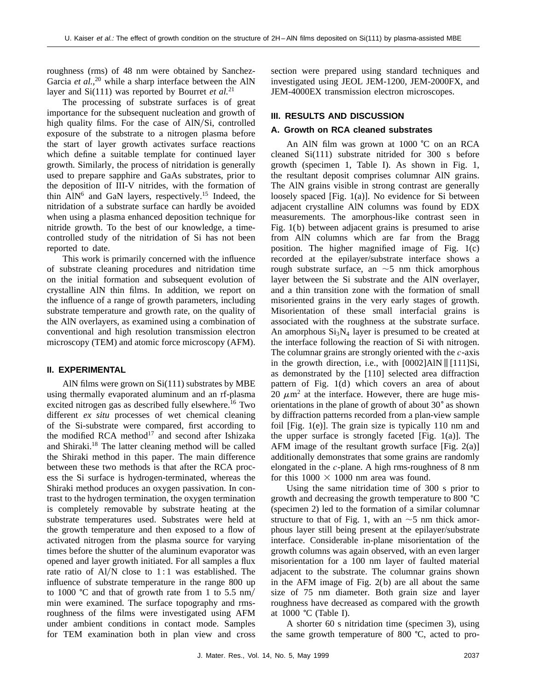roughness (rms) of 48 nm were obtained by Sanchez-Garcia *et al.*,<sup>20</sup> while a sharp interface between the AlN layer and Si(111) was reported by Bourret *et al.*<sup>21</sup>

The processing of substrate surfaces is of great importance for the subsequent nucleation and growth of high quality films. For the case of  $AlN/Si$ , controlled exposure of the substrate to a nitrogen plasma before the start of layer growth activates surface reactions which define a suitable template for continued layer growth. Similarly, the process of nitridation is generally used to prepare sapphire and GaAs substrates, prior to the deposition of III-V nitrides, with the formation of thin  $AlN^6$  and GaN layers, respectively.<sup>15</sup> Indeed, the nitridation of a substrate surface can hardly be avoided when using a plasma enhanced deposition technique for nitride growth. To the best of our knowledge, a timecontrolled study of the nitridation of Si has not been reported to date.

This work is primarily concerned with the influence of substrate cleaning procedures and nitridation time on the initial formation and subsequent evolution of crystalline AlN thin films. In addition, we report on the influence of a range of growth parameters, including substrate temperature and growth rate, on the quality of the AlN overlayers, as examined using a combination of conventional and high resolution transmission electron microscopy (TEM) and atomic force microscopy (AFM).

### **II. EXPERIMENTAL**

AlN films were grown on Si(111) substrates by MBE using thermally evaporated aluminum and an rf-plasma excited nitrogen gas as described fully elsewhere.<sup>16</sup> Two different *ex situ* processes of wet chemical cleaning of the Si-substrate were compared, first according to the modified RCA method $17$  and second after Ishizaka and Shiraki.<sup>18</sup> The latter cleaning method will be called the Shiraki method in this paper. The main difference between these two methods is that after the RCA process the Si surface is hydrogen-terminated, whereas the Shiraki method produces an oxygen passivation. In contrast to the hydrogen termination, the oxygen termination is completely removable by substrate heating at the substrate temperatures used. Substrates were held at the growth temperature and then exposed to a flow of activated nitrogen from the plasma source for varying times before the shutter of the aluminum evaporator was opened and layer growth initiated. For all samples a flux rate ratio of  $A1/N$  close to 1:1 was established. The influence of substrate temperature in the range 800 up to 1000 °C and that of growth rate from 1 to 5.5 nm/ min were examined. The surface topography and rmsroughness of the films were investigated using AFM under ambient conditions in contact mode. Samples for TEM examination both in plan view and cross section were prepared using standard techniques and investigated using JEOL JEM-1200, JEM-2000FX, and JEM-4000EX transmission electron microscopes.

### **III. RESULTS AND DISCUSSION**

# **A. Growth on RCA cleaned substrates**

An AlN film was grown at 1000 °C on an RCA cleaned Si(111) substrate nitrided for 300 s before growth (specimen 1, Table I). As shown in Fig. 1, the resultant deposit comprises columnar AlN grains. The AlN grains visible in strong contrast are generally loosely spaced [Fig. 1(a)]. No evidence for Si between adjacent crystalline AlN columns was found by EDX measurements. The amorphous-like contrast seen in Fig. 1(b) between adjacent grains is presumed to arise from AlN columns which are far from the Bragg position. The higher magnified image of Fig. 1(c) recorded at the epilayer/substrate interface shows a rough substrate surface, an  $\sim$  5 nm thick amorphous layer between the Si substrate and the AlN overlayer, and a thin transition zone with the formation of small misoriented grains in the very early stages of growth. Misorientation of these small interfacial grains is associated with the roughness at the substrate surface. An amorphous  $Si<sub>3</sub>N<sub>4</sub>$  layer is presumed to be created at the interface following the reaction of Si with nitrogen. The columnar grains are strongly oriented with the *c*-axis in the growth direction, i.e., with  $[0002]$ AlN  $\parallel$  [111]Si, as demonstrated by the [110] selected area diffraction pattern of Fig.  $1(d)$  which covers an area of about 20  $\mu$ m<sup>2</sup> at the interface. However, there are huge misorientations in the plane of growth of about  $30^{\circ}$  as shown by diffraction patterns recorded from a plan-view sample foil [Fig. 1(e)]. The grain size is typically 110 nm and the upper surface is strongly faceted [Fig. 1(a)]. The AFM image of the resultant growth surface [Fig. 2(a)] additionally demonstrates that some grains are randomly elongated in the *c*-plane. A high rms-roughness of 8 nm for this  $1000 \times 1000$  nm area was found.

Using the same nitridation time of 300 s prior to growth and decreasing the growth temperature to 800  $^{\circ}$ C (specimen 2) led to the formation of a similar columnar structure to that of Fig. 1, with an  $\sim$  5 nm thick amorphous layer still being present at the epilayer/substrate interface. Considerable in-plane misorientation of the growth columns was again observed, with an even larger misorientation for a 100 nm layer of faulted material adjacent to the substrate. The columnar grains shown in the AFM image of Fig. 2(b) are all about the same size of 75 nm diameter. Both grain size and layer roughness have decreased as compared with the growth at 1000 °C (Table I).

A shorter 60 s nitridation time (specimen 3), using the same growth temperature of  $800\text{ °C}$ , acted to pro-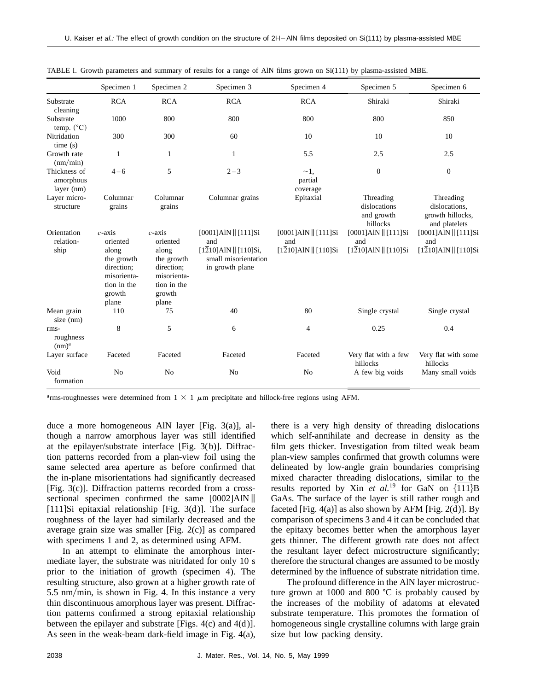|                                         | Specimen 1                                                                                                  | Specimen 2                                                                                                  | Specimen 3                                                                                                             | Specimen 4                                                        | Specimen 5                                                        | Specimen 6                                                                 |
|-----------------------------------------|-------------------------------------------------------------------------------------------------------------|-------------------------------------------------------------------------------------------------------------|------------------------------------------------------------------------------------------------------------------------|-------------------------------------------------------------------|-------------------------------------------------------------------|----------------------------------------------------------------------------|
| Substrate<br>cleaning                   | <b>RCA</b>                                                                                                  | <b>RCA</b>                                                                                                  | <b>RCA</b>                                                                                                             | <b>RCA</b>                                                        | Shiraki                                                           | Shiraki                                                                    |
| Substrate<br>temp. $(^{\circ}C)$        | 1000                                                                                                        | 800                                                                                                         | 800                                                                                                                    | 800                                                               | 800                                                               | 850                                                                        |
| Nitridation<br>time(s)                  | 300                                                                                                         | 300                                                                                                         | 60                                                                                                                     | 10                                                                | 10                                                                | 10                                                                         |
| Growth rate<br>(nm/min)                 | 1                                                                                                           | 1                                                                                                           | $\mathbf{1}$                                                                                                           | 5.5                                                               | 2.5                                                               | 2.5                                                                        |
| Thickness of<br>amorphous<br>layer (nm) | $4 - 6$                                                                                                     | 5                                                                                                           | $2 - 3$                                                                                                                | $\sim$ 1.<br>partial<br>coverage                                  | $\mathbf{0}$                                                      | $\boldsymbol{0}$                                                           |
| Layer micro-<br>structure               | Columnar<br>grains                                                                                          | Columnar<br>grains                                                                                          | Columnar grains                                                                                                        | Epitaxial                                                         | Threading<br>dislocations<br>and growth<br>hillocks               | Threading<br>dislocations,<br>growth hillocks,<br>and platelets            |
| Orientation<br>relation-<br>ship        | $c$ -axis<br>oriented<br>along<br>the growth<br>direction;<br>misorienta-<br>tion in the<br>growth<br>plane | $c$ -axis<br>oriented<br>along<br>the growth<br>direction;<br>misorienta-<br>tion in the<br>growth<br>plane | [0001]AlN    [111]Si<br>and<br>$[1\overline{2}10]$ AlN $\parallel$ [110]Si,<br>small misorientation<br>in growth plane | [0001]AlN    [111]Si<br>and<br>$[1\overline{2}10]$ AlN    [110]Si | [0001]AlN    [111]Si<br>and<br>$[1\overline{2}10]$ AlN    [110]Si | [0001]AlN    [111]Si<br>and<br>$[1\overline{2}10]$ AlN $\parallel$ [110]Si |
| Mean grain<br>size (nm)                 | 110                                                                                                         | 75                                                                                                          | 40                                                                                                                     | 80                                                                | Single crystal                                                    | Single crystal                                                             |
| rms-<br>roughness<br>(nm) <sup>a</sup>  | 8                                                                                                           | 5                                                                                                           | 6                                                                                                                      | 4                                                                 | 0.25                                                              | 0.4                                                                        |
| Layer surface                           | Faceted                                                                                                     | Faceted                                                                                                     | Faceted                                                                                                                | Faceted                                                           | Very flat with a few<br>hillocks                                  | Very flat with some<br>hillocks                                            |
| Void<br>formation                       | No                                                                                                          | N <sub>0</sub>                                                                                              | No                                                                                                                     | No                                                                | A few big voids                                                   | Many small voids                                                           |

| TABLE I. Growth parameters and summary of results for a range of AIN films grown on Si(111) by plasma-assisted MBE. |  |  |
|---------------------------------------------------------------------------------------------------------------------|--|--|
|                                                                                                                     |  |  |

<sup>a</sup>rms-roughnesses were determined from  $1 \times 1 \mu$ m precipitate and hillock-free regions using AFM.

duce a more homogeneous AlN layer [Fig. 3(a)], although a narrow amorphous layer was still identified at the epilayer/substrate interface [Fig. 3(b)]. Diffraction patterns recorded from a plan-view foil using the same selected area aperture as before confirmed that the in-plane misorientations had significantly decreased [Fig. 3(c)]. Diffraction patterns recorded from a crosssectional specimen confirmed the same  $[0002]$ AlN  $\parallel$ [111]Si epitaxial relationship [Fig.  $3(d)$ ]. The surface roughness of the layer had similarly decreased and the average grain size was smaller [Fig. 2(c)] as compared with specimens 1 and 2, as determined using AFM.

In an attempt to eliminate the amorphous intermediate layer, the substrate was nitridated for only 10 s prior to the initiation of growth (specimen 4). The resulting structure, also grown at a higher growth rate of  $5.5 \text{ nm/min}$ , is shown in Fig. 4. In this instance a very thin discontinuous amorphous layer was present. Diffraction patterns confirmed a strong epitaxial relationship between the epilayer and substrate [Figs.  $4(c)$  and  $4(d)$ ]. As seen in the weak-beam dark-field image in Fig. 4(a),

there is a very high density of threading dislocations which self-annihilate and decrease in density as the film gets thicker. Investigation from tilted weak beam plan-view samples confirmed that growth columns were delineated by low-angle grain boundaries comprising mixed character threading dislocations, similar to the results reported by Xin  $et$  al.<sup>19</sup> for GaN on  $\{\overline{1}\overline{1}\}$ B GaAs. The surface of the layer is still rather rough and faceted [Fig. 4(a)] as also shown by AFM [Fig.  $2(d)$ ]. By comparison of specimens 3 and 4 it can be concluded that the epitaxy becomes better when the amorphous layer gets thinner. The different growth rate does not affect the resultant layer defect microstructure significantly; therefore the structural changes are assumed to be mostly determined by the influence of substrate nitridation time.

The profound difference in the AlN layer microstructure grown at 1000 and 800  $^{\circ}$ C is probably caused by the increases of the mobility of adatoms at elevated substrate temperature. This promotes the formation of homogeneous single crystalline columns with large grain size but low packing density.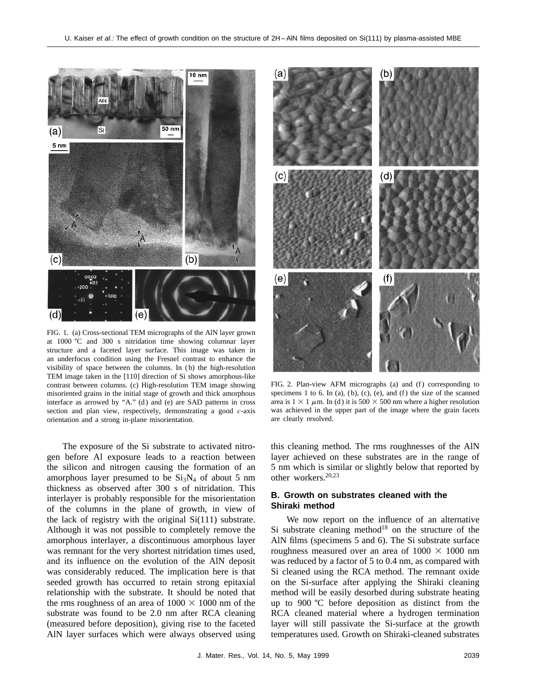

FIG. 1. (a) Cross-sectional TEM micrographs of the AlN layer grown at 1000 °C and 300 s nitridation time showing columnar layer structure and a faceted layer surface. This image was taken in an underfocus condition using the Fresnel contrast to enhance the visibility of space between the columns. In ( b) the high-resolution TEM image taken in the [110] direction of Si shows amorphous-like contrast between columns. (c) High-resolution TEM image showing misoriented grains in the initial stage of growth and thick amorphous interface as arrowed by "A." (d) and (e) are SAD patterns in cross section and plan view, respectively, demonstrating a good *c*-axis orientation and a strong in-plane misorientation.

The exposure of the Si substrate to activated nitrogen before Al exposure leads to a reaction between the silicon and nitrogen causing the formation of an amorphous layer presumed to be  $Si<sub>3</sub>N<sub>4</sub>$  of about 5 nm thickness as observed after 300 s of nitridation. This interlayer is probably responsible for the misorientation of the columns in the plane of growth, in view of the lack of registry with the original Si(111) substrate. Although it was not possible to completely remove the amorphous interlayer, a discontinuous amorphous layer was remnant for the very shortest nitridation times used, and its influence on the evolution of the AlN deposit was considerably reduced. The implication here is that seeded growth has occurred to retain strong epitaxial relationship with the substrate. It should be noted that the rms roughness of an area of  $1000 \times 1000$  nm of the substrate was found to be 2.0 nm after RCA cleaning (measured before deposition), giving rise to the faceted AlN layer surfaces which were always observed using



FIG. 2. Plan-view AFM micrographs (a) and (f) corresponding to specimens 1 to 6. In (a), (b), (c), (e), and (f) the size of the scanned area is  $1 \times 1 \mu$ m. In (d) it is 500  $\times$  500 nm where a higher resolution was achieved in the upper part of the image where the grain facets are clearly resolved.

this cleaning method. The rms roughnesses of the AlN layer achieved on these substrates are in the range of 5 nm which is similar or slightly below that reported by other workers.20,23

## **B. Growth on substrates cleaned with the Shiraki method**

We now report on the influence of an alternative Si substrate cleaning method<sup>18</sup> on the structure of the AlN films (specimens 5 and 6). The Si substrate surface roughness measured over an area of  $1000 \times 1000$  nm was reduced by a factor of 5 to 0.4 nm, as compared with Si cleaned using the RCA method. The remnant oxide on the Si-surface after applying the Shiraki cleaning method will be easily desorbed during substrate heating up to 900  $\degree$ C before deposition as distinct from the RCA cleaned material where a hydrogen termination layer will still passivate the Si-surface at the growth temperatures used. Growth on Shiraki-cleaned substrates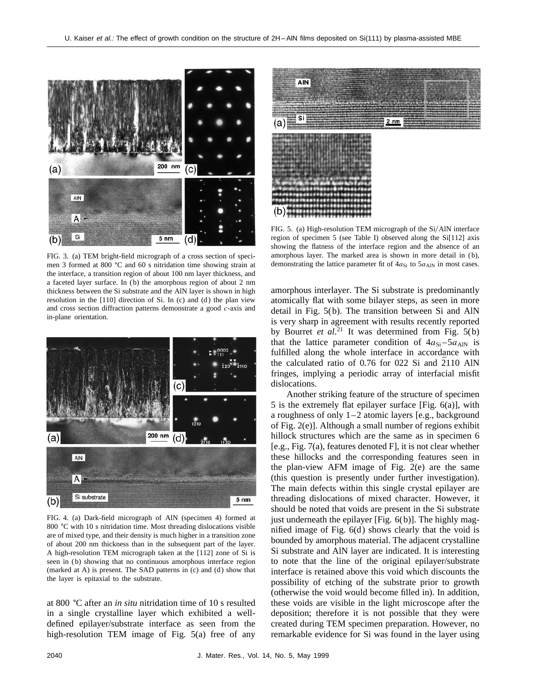

FIG. 3. (a) TEM bright-field micrograph of a cross section of specimen 3 formed at 800  $^{\circ}$ C and 60 s nitridation time showing strain at the interface, a transition region of about 100 nm layer thickness, and a faceted layer surface. In ( b) the amorphous region of about 2 nm thickness between the Si substrate and the AlN layer is shown in high resolution in the  $[110]$  direction of Si. In (c) and (d) the plan view and cross section diffraction patterns demonstrate a good *c*-axis and in-plane orientation.



FIG. 4. (a) Dark-field micrograph of AlN (specimen 4) formed at 800 °C with 10 s nitridation time. Most threading dislocations visible are of mixed type, and their density is much higher in a transition zone of about 200 nm thickness than in the subsequent part of the layer. A high-resolution TEM micrograph taken at the [112] zone of Si is seen in (b) showing that no continuous amorphous interface region (marked at A) is present. The SAD patterns in  $(c)$  and  $(d)$  show that the layer is epitaxial to the substrate.

at 800 °C after an *in situ* nitridation time of 10 s resulted in a single crystalline layer which exhibited a welldefined epilayer/substrate interface as seen from the high-resolution TEM image of Fig. 5(a) free of any



FIG. 5. (a) High-resolution TEM micrograph of the Si/AlN interface region of specimen 5 (see Table I) observed along the Si[112] axis showing the flatness of the interface region and the absence of an amorphous layer. The marked area is shown in more detail in (b), demonstrating the lattice parameter fit of  $4a_{Si}$  to  $5a_{AlN}$  in most cases.

amorphous interlayer. The Si substrate is predominantly atomically flat with some bilayer steps, as seen in more detail in Fig. 5(b). The transition between Si and AlN is very sharp in agreement with results recently reported by Bourret *et al.*<sup>21</sup> It was determined from Fig. 5(b) that the lattice parameter condition of  $4a_{Si} - 5a_{AlN}$  is fulfilled along the whole interface in accordance with the calculated ratio of  $0.76$  for  $0.22$  Si and  $\overline{2}110$  AlN fringes, implying a periodic array of interfacial misfit dislocations.

Another striking feature of the structure of specimen 5 is the extremely flat epilayer surface [Fig. 6(a)], with a roughness of only 1–2 atomic layers [e.g., background of Fig. 2(e)]. Although a small number of regions exhibit hillock structures which are the same as in specimen 6 [e.g., Fig. 7(a), features denoted F], it is not clear whether these hillocks and the corresponding features seen in the plan-view AFM image of Fig. 2(e) are the same (this question is presently under further investigation). The main defects within this single crystal epilayer are threading dislocations of mixed character. However, it should be noted that voids are present in the Si substrate just underneath the epilayer  $[Fig. 6(b)]$ . The highly magnified image of Fig.  $6(d)$  shows clearly that the void is bounded by amorphous material. The adjacent crystalline Si substrate and AlN layer are indicated. It is interesting to note that the line of the original epilayer/substrate interface is retained above this void which discounts the possibility of etching of the substrate prior to growth (otherwise the void would become filled in). In addition, these voids are visible in the light microscope after the deposition; therefore it is not possible that they were created during TEM specimen preparation. However, no remarkable evidence for Si was found in the layer using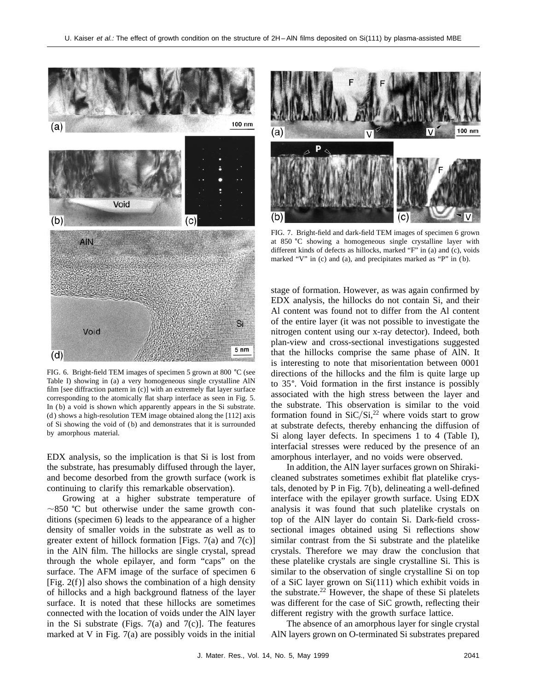

FIG. 6. Bright-field TEM images of specimen 5 grown at 800  $^{\circ}$ C (see Table I) showing in (a) a very homogeneous single crystalline AlN film [see diffraction pattern in (c)] with an extremely flat layer surface corresponding to the atomically flat sharp interface as seen in Fig. 5. In (b) a void is shown which apparently appears in the Si substrate. (d) shows a high-resolution TEM image obtained along the  $[112]$  axis of Si showing the void of ( b) and demonstrates that it is surrounded by amorphous material.

EDX analysis, so the implication is that Si is lost from the substrate, has presumably diffused through the layer, and become desorbed from the growth surface (work is continuing to clarify this remarkable observation).

Growing at a higher substrate temperature of  $\sim$ 850 °C but otherwise under the same growth conditions (specimen 6) leads to the appearance of a higher density of smaller voids in the substrate as well as to greater extent of hillock formation [Figs. 7(a) and 7(c)] in the AlN film. The hillocks are single crystal, spread through the whole epilayer, and form "caps" on the surface. The AFM image of the surface of specimen 6 [Fig.  $2(f)$ ] also shows the combination of a high density of hillocks and a high background flatness of the layer surface. It is noted that these hillocks are sometimes connected with the location of voids under the AlN layer in the Si substrate (Figs.  $7(a)$  and  $7(c)$ ). The features marked at V in Fig. 7(a) are possibly voids in the initial



FIG. 7. Bright-field and dark-field TEM images of specimen 6 grown at 850 °C showing a homogeneous single crystalline layer with different kinds of defects as hillocks, marked "F" in (a) and (c), voids marked "V" in (c) and (a), and precipitates marked as "P" in (b).

stage of formation. However, as was again confirmed by EDX analysis, the hillocks do not contain Si, and their Al content was found not to differ from the Al content of the entire layer (it was not possible to investigate the nitrogen content using our x-ray detector). Indeed, both plan-view and cross-sectional investigations suggested that the hillocks comprise the same phase of AlN. It is interesting to note that misorientation between 0001 directions of the hillocks and the film is quite large up to 35°. Void formation in the first instance is possibly associated with the high stress between the layer and the substrate. This observation is similar to the void formation found in  $SiC/Si$ ,<sup>22</sup> where voids start to grow at substrate defects, thereby enhancing the diffusion of Si along layer defects. In specimens 1 to 4 (Table I), interfacial stresses were reduced by the presence of an amorphous interlayer, and no voids were observed.

In addition, the AlN layer surfaces grown on Shirakicleaned substrates sometimes exhibit flat platelike crystals, denoted by P in Fig. 7(b), delineating a well-defined interface with the epilayer growth surface. Using EDX analysis it was found that such platelike crystals on top of the AlN layer do contain Si. Dark-field crosssectional images obtained using Si reflections show similar contrast from the Si substrate and the platelike crystals. Therefore we may draw the conclusion that these platelike crystals are single crystalline Si. This is similar to the observation of single crystalline Si on top of a SiC layer grown on Si(111) which exhibit voids in the substrate.<sup>22</sup> However, the shape of these Si platelets was different for the case of SiC growth, reflecting their different registry with the growth surface lattice.

The absence of an amorphous layer for single crystal AlN layers grown on O-terminated Si substrates prepared